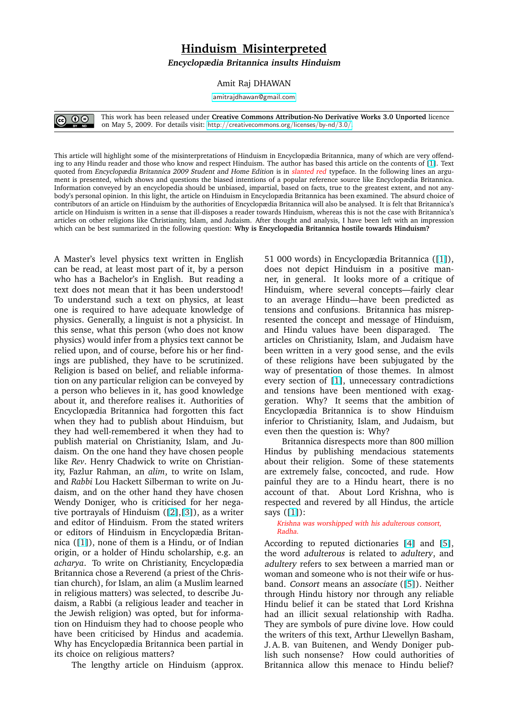## **Hinduism Misinterpreted**

**Encyclopædia Britannica insults Hinduism**

Amit Raj DHAWAN

amitrajdhawan@gmail.com



This work has been released under **Creative Commons Attribution-No Derivative Works 3.0 Unported** licence on May 5, 2009. For details visit: http://creativecommons.org/licenses/by-nd/3.0/.

This article will highlight some of the misinterpretations of Hinduism in Encyclopædia Britannica, many of which are very offending to any Hindu reader and those who know an[d respect Hinduism. The author has based this ar](http://creativecommons.org/licenses/by-nd/3.0/)ticle on the contents of [1]. Text quoted from Encyclopædia Britannica 2009 Student and Home Edition is in slanted red typeface. In the following lines an argument is presented, which shows and questions the biased intentions of a popular reference source like Encyclopædia Britannica. Information conveyed by an encyclopedia should be unbiased, impartial, based on facts, true to the greatest extent, and not anybody's personal opinion. In this light, the article on Hinduism in Encyclopædia Britannica has been examined. The absurd choice of contributors of an article on Hinduism by the authorities of Encyclopædia Britannica will also be analysed. It is felt that Bri[tan](#page-3-0)nica's article on Hinduism is written in a sense that ill-disposes a reader towards Hinduism, whereas this is not the case with Britannica's articles on other religions like Christianity, Islam, and Judaism. After thought and analysis, I have been left with an impression which can be best summarized in the following question: **Why is Encyclopædia Britannica hostile towards Hinduism?**

A Master's level physics text written in English can be read, at least most part of it, by a person who has a Bachelor's in English. But reading a text does not mean that it has been understood! To understand such a text on physics, at least one is required to have adequate knowledge of physics. Generally, a linguist is not a physicist. In this sense, what this person (who does not know physics) would infer from a physics text cannot be relied upon, and of course, before his or her findings are published, they have to be scrutinized. Religion is based on belief, and reliable information on any particular religion can be conveyed by a person who believes in it, has good knowledge about it, and therefore realises it. Authorities of Encyclopædia Britannica had forgotten this fact when they had to publish about Hinduism, but they had well-remembered it when they had to publish material on Christianity, Islam, and Judaism. On the one hand they have chosen people like *Rev*. Henry Chadwick to write on Christianity, Fazlur Rahman, an *alim*, to write on Islam, and *Rabbi* Lou Hackett Silberman to write on Judaism, and on the other hand they have chosen Wendy Doniger, who is criticised for her negative portrayals of Hinduism ([2],[3]), as a writer and editor of Hinduism. From the stated writers or editors of Hinduism in Encyclopædia Britannica ([1]), none of them is a Hindu, or of Indian origin, or a holder of Hindu [schola](#page-3-0)rship, e.g. an *acharya*. To write on Christianity, Encyclopædia Britannica chose a Reverend (a priest of the Christian c[hur](#page-3-0)ch), for Islam, an alim (a Muslim learned in religious matters) was selected, to describe Judaism, a Rabbi (a religious leader and teacher in the Jewish religion) was opted, but for information on Hinduism they had to choose people who have been criticised by Hindus and academia. Why has Encyclopædia Britannica been partial in its choice on religious matters?

The lengthy article on Hinduism (approx.

51 000 words) in Encyclopædia Britannica ([1]), does not depict Hinduism in a positive manner, in general. It looks more of a critique of Hinduism, where several concepts—fairly clear to an average Hindu—have been predicte[d](#page-3-0) as tensions and confusions. Britannica has misrepresented the concept and message of Hinduism, and Hindu values have been disparaged. The articles on Christianity, Islam, and Judaism have been written in a very good sense, and the evils of these religions have been subjugated by the way of presentation of those themes. In almost every section of [1], unnecessary contradictions and tensions have been mentioned with exaggeration. Why? It seems that the ambition of Encyclopædia Britannica is to show Hinduism inferior to Christi[an](#page-3-0)ity, Islam, and Judaism, but even then the question is: Why?

Britannica disrespects more than 800 million Hindus by publishing mendacious statements about their religion. Some of these statements are extremely false, concocted, and rude. How painful they are to a Hindu heart, there is no account of that. About Lord Krishna, who is respected and revered by all Hindus, the article says  $([1])$ :

Krishna was worshipped with his adulterous consort, Radha.

According to reputed dictionaries [4] and [5], the w[ord](#page-3-0) adulterous is related to adultery, and adultery refers to sex between a married man or woman and someone who is not their wife or husband. Consort means an associate ([\[5\]](#page-3-0)). Neit[he](#page-3-0)r through Hindu history nor through any reliable Hindu belief it can be stated that Lord Krishna had an illicit sexual relationship with Radha. They are symbols of pure divine love[. H](#page-3-0)ow could the writers of this text, Arthur Llewellyn Basham, J. A. B. van Buitenen, and Wendy Doniger publish such nonsense? How could authorities of Britannica allow this menace to Hindu belief?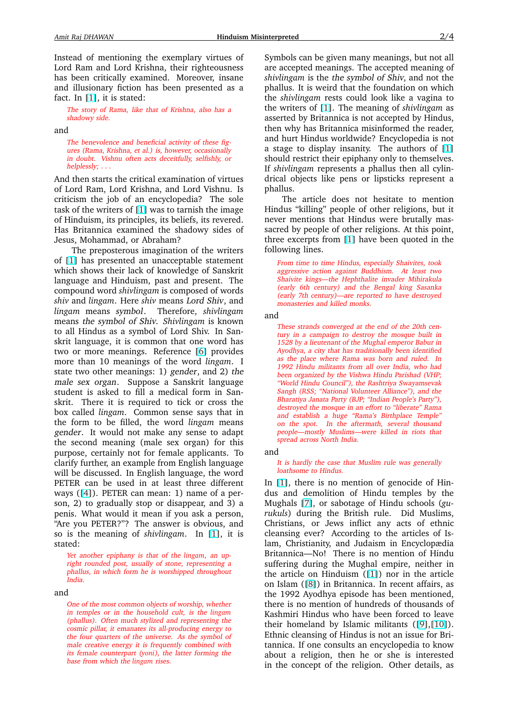Instead of mentioning the exemplary virtues of Lord Ram and Lord Krishna, their righteousness has been critically examined. Moreover, insane and illusionary fiction has been presented as a fact. In  $[1]$ , it is stated:

The story of Rama, like that of Krishna, also has <sup>a</sup> shadowy side.

and

The b[ene](#page-3-0)volence and beneficial activity of these figures (Rama, Krishna, et al.) is, however, occasionally in doubt. Vishnu often acts deceitfully, selfishly, or helplessly; . . .

And then starts the critical examination of virtues of Lord Ram, Lord Krishna, and Lord Vishnu. Is criticism the job of an encyclopedia? The sole task of the writers of [1] was to tarnish the image of Hinduism, its principles, its beliefs, its revered. Has Britannica examined the shadowy sides of Jesus, Mohammad, or Abraham?

The preposterou[s i](#page-3-0)magination of the writers of [1] has presented an unacceptable statement which shows their lack of knowledge of Sanskrit language and Hinduism, past and present. The compound word *shivlingam* is composed of words *shiv* [a](#page-3-0)nd *lingam*. Here *shiv* means Lord Shiv, and *lingam* means symbol. Therefore, *shivlingam* means the symbol of Shiv. *Shivlingam* is known to all Hindus as a symbol of Lord Shiv. In Sanskrit language, it is common that one word has two or more meanings. Reference [6] provides more than 10 meanings of the word *lingam*. I state two other meanings: 1) gender, and 2) the male sex organ. Suppose a Sanskrit language student is asked to fill a medical f[orm](#page-3-0) in Sanskrit. There it is required to tick or cross the box called *lingam*. Common sense says that in the form to be filled, the word *lingam* means gender. It would not make any sense to adapt the second meaning (male sex organ) for this purpose, certainly not for female applicants. To clarify further, an example from English language will be discussed. In English language, the word PETER can be used in at least three different ways ([4]). PETER can mean: 1) name of a person, 2) to gradually stop or disappear, and 3) a penis. What would it mean if you ask a person, "Are you PETER?"? The answer is obvious, and so is t[he](#page-3-0) meaning of *shivlingam*. In [1], it is stated:

Yet another epiphany is that of the *lingam*, an upright rounded post, usually of stone, representing <sup>a</sup> phallus, in which form he is worshipped thro[ugh](#page-3-0)out India.

and

One of the most common objects of worship, whether in temples or in the household cult, is the *lingam* (phallus). Often much stylized and representing the cosmic pillar, it emanates its all-producing energy to the four quarters of the universe. As the symbol of male creative energy it is frequently combined with its female counterpart (*yoni*), the latter forming the base from which the *lingam* rises.

Symbols can be given many meanings, but not all are accepted meanings. The accepted meaning of *shivlingam* is the the symbol of Shiv, and not the phallus. It is weird that the foundation on which the *shivlingam* rests could look like a vagina to the writers of [1]. The meaning of *shivlingam* as asserted by Britannica is not accepted by Hindus, then why has Britannica misinformed the reader, and hurt Hindus worldwide? Encyclopedia is not a stage to dis[pla](#page-3-0)y insanity. The authors of [1] should restrict their epiphany only to themselves. If *shivlingam* represents a phallus then all cylindrical objects like pens or lipsticks represent a phallus.

The article does not hesitate to menti[on](#page-3-0) Hindus "killing" people of other religions, but it never mentions that Hindus were brutally massacred by people of other religions. At this point, three excerpts from [1] have been quoted in the following lines.

From time to time Hindus, especially Shaivites, took aggressive action against Buddhism. At least two Shaivite kings—the [Hep](#page-3-0)hthalite invader Mihirakula (early 6th century) and the Bengal king Sasanka (early 7th century)—are reported to have destroyed monasteries and killed monks.

## and

These strands converged at the end of the 20th century in <sup>a</sup> campaign to destroy the mosque built in <sup>1528</sup> by <sup>a</sup> lieutenant of the Mughal emperor Babur in Ayodhya, <sup>a</sup> city that has traditionally been identified as the place where Rama was born and ruled. In 1992 Hindu militants from all over India, who had been organized by the Vishwa Hindu Parishad (VHP; "World Hindu Council"), the Rashtriya Swayamsevak Sangh (RSS; "National Volunteer Alliance"), and the Bharatiya Janata Party (BJP; "Indian People's Party"), destroyed the mosque in an effort to "liberate" Rama and establish <sup>a</sup> huge "Rama's Birthplace Temple" on the spot. In the aftermath, several thousand people—mostly Muslims—were killed in riots that spread across North India.

and

It is hardly the case that Muslim rule was generally loathsome to Hindus.

In [1], there is no mention of genocide of Hindus and demolition of Hindu temples by the Mughals [7], or sabotage of Hindu schools (*gurukuls*) during the British rule. Did Muslims, Chr[ist](#page-3-0)ians, or Jews inflict any acts of ethnic cleansing ever? According to the articles of Islam, Chri[sti](#page-3-0)anity, and Judaism in Encyclopædia Britannica—No! There is no mention of Hindu suffering during the Mughal empire, neither in the article on Hinduism ([1]) nor in the article on Islam ([8]) in Britannica. In recent affairs, as the 1992 Ayodhya episode has been mentioned, there is no mention of hundreds of thousands of Kashmiri Hindus who hav[e b](#page-3-0)een forced to leave their hom[ela](#page-3-0)nd by Islamic militants ([9],[10]). Ethnic cleansing of Hindus is not an issue for Britannica. If one consults an encyclopedia to know about a religion, then he or she is interested in the concept of the religion. Other [det](#page-3-0)ai[ls,](#page-3-0) as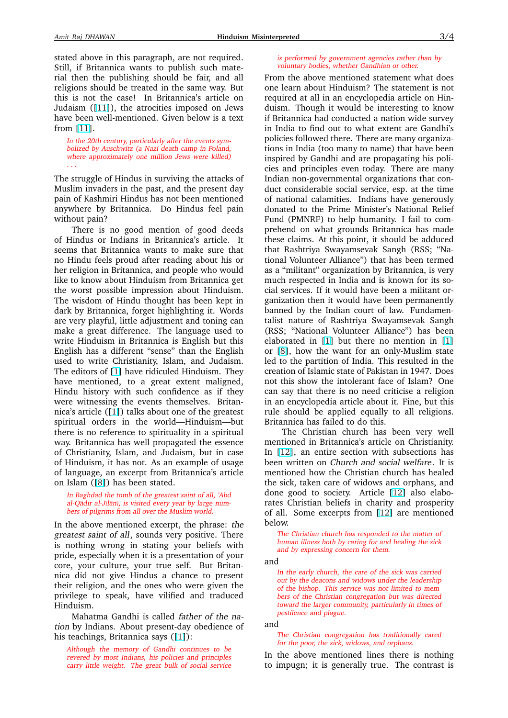stated above in this paragraph, are not required. Still, if Britannica wants to publish such material then the publishing should be fair, and all religions should be treated in the same way. But this is not the case! In Britannica's article on Judaism ([11]), the atrocities imposed on Jews have been well-mentioned. Given below is a text from [11].

In the 20th century, particularly after the events symbolized by [Au](#page-3-0)schwitz (a Nazi death camp in Poland, where approximately one million Jews were killed) . . .

The st[rug](#page-3-0)gle of Hindus in surviving the attacks of Muslim invaders in the past, and the present day pain of Kashmiri Hindus has not been mentioned anywhere by Britannica. Do Hindus feel pain without pain?

There is no good mention of good deeds of Hindus or Indians in Britannica's article. It seems that Britannica wants to make sure that no Hindu feels proud after reading about his or her religion in Britannica, and people who would like to know about Hinduism from Britannica get the worst possible impression about Hinduism. The wisdom of Hindu thought has been kept in dark by Britannica, forget highlighting it. Words are very playful, little adjustment and toning can make a great difference. The language used to write Hinduism in Britannica is English but this English has a different "sense" than the English used to write Christianity, Islam, and Judaism. The editors of [1] have ridiculed Hinduism. They have mentioned, to a great extent maligned, Hindu history with such confidence as if they were witnessing the events themselves. Britannica's article ([[1\]](#page-3-0)) talks about one of the greatest spiritual orders in the world—Hinduism—but there is no reference to spirituality in a spiritual way. Britannica has well propagated the essence of Christianity[, I](#page-3-0)slam, and Judaism, but in case of Hinduism, it has not. As an example of usage of language, an excerpt from Britannica's article on Islam ([8]) has been stated.

In Baghdad the tomb of the greatest saint of all, 'Abd al-Qadir al-Jılanı, is visited every year by large numbers of pilgrims from all over the Muslim world.

In the abo[ve](#page-3-0) mentioned excerpt, the phrase: the greatest saint of all, sounds very positive. There is nothing wrong in stating your beliefs with pride, especially when it is a presentation of your core, your culture, your true self. But Britannica did not give Hindus a chance to present their religion, and the ones who were given the privilege to speak, have vilified and traduced Hinduism.

Mahatma Gandhi is called father of the nation by Indians. About present-day obedience of his teachings, Britannica says ([1]):

Although the memory of Gandhi continues to be revered by most Indians, his policies and principles carry little weight. The great bulk of social service

## is performed by government agencies rather than by voluntary bodies, whether Gandhian or other.

From the above mentioned statement what does one learn about Hinduism? The statement is not required at all in an encyclopedia article on Hinduism. Though it would be interesting to know if Britannica had conducted a nation wide survey in India to find out to what extent are Gandhi's policies followed there. There are many organizations in India (too many to name) that have been inspired by Gandhi and are propagating his policies and principles even today. There are many Indian non-governmental organizations that conduct considerable social service, esp. at the time of national calamities. Indians have generously donated to the Prime Minister's National Relief Fund (PMNRF) to help humanity. I fail to comprehend on what grounds Britannica has made these claims. At this point, it should be adduced that Rashtriya Swayamsevak Sangh (RSS; "National Volunteer Alliance") that has been termed as a "militant" organization by Britannica, is very much respected in India and is known for its social services. If it would have been a militant organization then it would have been permanently banned by the Indian court of law. Fundamentalist nature of Rashtriya Swayamsevak Sangh (RSS; "National Volunteer Alliance") has been elaborated in [1] but there no mention in [1] or [8], how the want for an only-Muslim state led to the partition of India. This resulted in the creation of Islamic state of Pakistan in 1947. Does not this show t[he](#page-3-0) intolerant face of Islam? O[ne](#page-3-0) can [sa](#page-3-0)y that there is no need criticise a religion in an encyclopedia article about it. Fine, but this rule should be applied equally to all religions. Britannica has failed to do this.

The Christian church has been very well mentioned in Britannica's article on Christianity. In [12], an entire section with subsections has been written on Church and social welfare. It is mentioned how the Christian church has healed the sick, taken care of widows and orphans, and don[e g](#page-3-0)ood to society. Article [12] also elaborates Christian beliefs in charity and prosperity of all. Some excerpts from [12] are mentioned below.

The Christian church has responded [to](#page-3-0) the matter of human illness both by caring for and healing the sick and by expressing concern for t[hem.](#page-3-0)

and

In the early church, the care of the sick was carried out by the deacons and widows under the leadership of the bishop. This service was not limited to members of the Christian congregation but was directed toward the larger community, particularly in times of pestilence and plague.

and

The Christian congregation has traditionally cared for the poor, the sick, widows, and orphans.

In the above mentioned lines there is nothing to impugn; it is generally true. The contrast is